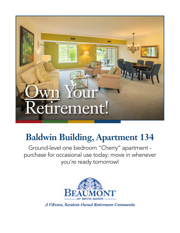

## **Baldwin Building, Apartment 134**

Ground-level one bedroom "Cherry" apartment purchase for occasional use today; move in whenever you're ready tomorrow!

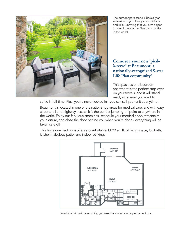

The outdoor park-scape is basically an extension of your living room. Sit back and relax, knowing that you own a spot in one of the top Life Plan communities in the world.

## **Come see your new 'piedà-terre' at Beaumont, a nationally-recognized 5-star Life Plan community!**

This spacious one bedroom apartment is the perfect stop-over on your travels, and it will stand ready whenever you want to

settle in full-time. Plus, you're never locked in - you can sell your unit at anytime!

Beaumont is located in one of the nation's top areas for medical care, and with easy airport, rail and highway access, it is the perfect jumping-off point to anywhere in the world. Enjoy our fabulous amenities, schedule your medical appointments at your leisure, and close the door behind you when you're done - everything will be taken care of!

This large one bedroom offers a comfortable 1,029 sq. ft. of living space, full bath, kitchen, fabulous patio, and indoor parking.



Smart footprint with everything you need for occasional or permanent use.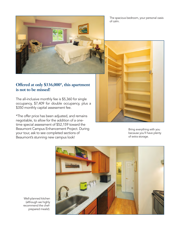



## **Offered at only \$336,000\*, this apartment is not to be missed!**

The all-inclusive monthly fee is \$5,360 for single occupancy, \$7,409 for double occupancy, plus a \$350 monthly capital assessment fee.

\*The offer price has been adjusted, and remains negotiable, to allow for the addition of a onetime special assessment of \$52,159 toward the Beaumont Campus Enhancement Project. During your tour, ask to see completed sections of Beaumont's stunning new campus look!



Bring everything with you because you'll have plenty of extra storage.



Well-planned kitchen (although we highly recommend the chefprepared meals!).